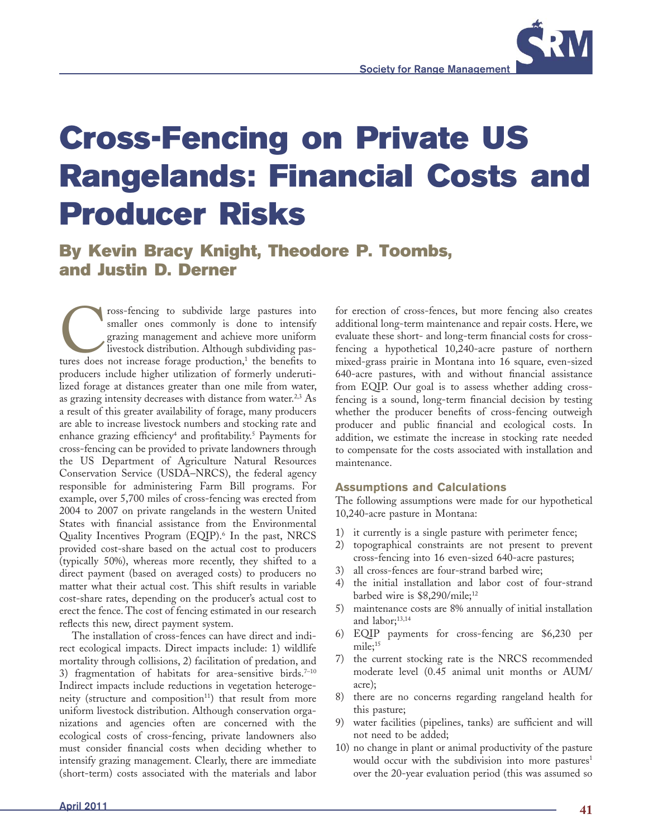

# **Cross-Fencing on Private US Rangelands: Financial Costs and Producer Risks**

**By Kevin Bracy Knight, Theodore P. Toombs, and Justin D. Derner**

Fracing to subdivide large pastures into smaller ones commonly is done to intensify grazing management and achieve more uniform livestock distribution. Although subdividing pastures does not increase forage production,<sup>1</sup> smaller ones commonly is done to intensify grazing management and achieve more uniform livestock distribution. Although subdividing pasproducers include higher utilization of formerly underutilized forage at distances greater than one mile from water, as grazing intensity decreases with distance from water.<sup>2,3</sup> As a result of this greater availability of forage, many producers are able to increase livestock numbers and stocking rate and enhance grazing efficiency<sup>4</sup> and profitability.<sup>5</sup> Payments for cross-fencing can be provided to private landowners through the US Department of Agriculture Natural Resources Conservation Service (USDA–NRCS), the federal agency responsible for administering Farm Bill programs. For example, over 5,700 miles of cross-fencing was erected from 2004 to 2007 on private rangelands in the western United States with financial assistance from the Environmental Quality Incentives Program (EQIP).<sup>6</sup> In the past, NRCS provided cost-share based on the actual cost to producers (typically 50%), whereas more recently, they shifted to a direct payment (based on averaged costs) to producers no matter what their actual cost. This shift results in variable cost-share rates, depending on the producer's actual cost to erect the fence. The cost of fencing estimated in our research reflects this new, direct payment system.

The installation of cross-fences can have direct and indirect ecological impacts. Direct impacts include: 1) wildlife mortality through collisions, 2) facilitation of predation, and 3) fragmentation of habitats for area-sensitive birds.<sup>7-10</sup> Indirect impacts include reductions in vegetation heterogeneity (structure and composition $11$ ) that result from more uniform livestock distribution. Although conservation organizations and agencies often are concerned with the ecological costs of cross-fencing, private landowners also must consider financial costs when deciding whether to intensify grazing management. Clearly, there are immediate (short-term) costs associated with the materials and labor for erection of cross-fences, but more fencing also creates additional long-term maintenance and repair costs. Here, we evaluate these short- and long-term financial costs for crossfencing a hypothetical 10,240-acre pasture of northern mixed-grass prairie in Montana into 16 square, even-sized 640-acre pastures, with and without financial assistance from EQIP. Our goal is to assess whether adding crossfencing is a sound, long-term financial decision by testing whether the producer benefits of cross-fencing outweigh producer and public financial and ecological costs. In addition, we estimate the increase in stocking rate needed to compensate for the costs associated with installation and maintenance.

#### **Assumptions and Calculations**

The following assumptions were made for our hypothetical 10,240-acre pasture in Montana:

- 1) it currently is a single pasture with perimeter fence;
- 2) topographical constraints are not present to prevent cross-fencing into 16 even-sized 640-acre pastures;
- 3) all cross-fences are four-strand barbed wire;
- 4) the initial installation and labor cost of four-strand barbed wire is  $$8,290/mile;^{12}$
- 5) maintenance costs are 8% annually of initial installation and labor; $^{13,14}$
- 6) EQIP payments for cross-fencing are \$6,230 per mile;<sup>15</sup>
- 7) the current stocking rate is the NRCS recommended moderate level (0.45 animal unit months or AUM/ acre);
- 8) there are no concerns regarding rangeland health for this pasture;
- 9) water facilities (pipelines, tanks) are sufficient and will not need to be added;
- 10) no change in plant or animal productivity of the pasture would occur with the subdivision into more pastures<sup>1</sup> over the 20-year evaluation period (this was assumed so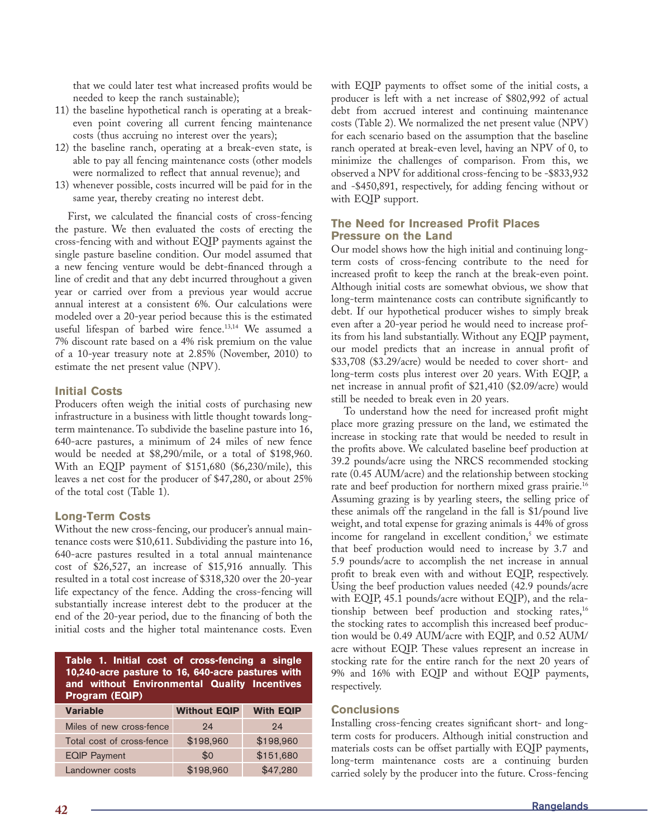that we could later test what increased profits would be needed to keep the ranch sustainable);

- 11) the baseline hypothetical ranch is operating at a breakeven point covering all current fencing maintenance costs (thus accruing no interest over the years);
- 12) the baseline ranch, operating at a break-even state, is able to pay all fencing maintenance costs (other models were normalized to reflect that annual revenue); and
- 13) whenever possible, costs incurred will be paid for in the same year, thereby creating no interest debt.

First, we calculated the financial costs of cross-fencing the pasture. We then evaluated the costs of erecting the cross-fencing with and without EQIP payments against the single pasture baseline condition. Our model assumed that a new fencing venture would be debt-financed through a line of credit and that any debt incurred throughout a given year or carried over from a previous year would accrue annual interest at a consistent 6%. Our calculations were modeled over a 20-year period because this is the estimated useful lifespan of barbed wire fence.13,14 We assumed a 7% discount rate based on a 4% risk premium on the value of a 10-year treasury note at 2.85% (November, 2010) to estimate the net present value (NPV).

## **Initial Costs**

Producers often weigh the initial costs of purchasing new infrastructure in a business with little thought towards longterm maintenance. To subdivide the baseline pasture into 16, 640-acre pastures, a minimum of 24 miles of new fence would be needed at \$8,290/mile, or a total of \$198,960. With an EQIP payment of \$151,680 (\$6,230/mile), this leaves a net cost for the producer of \$47,280, or about 25% of the total cost (Table 1).

## **Long-Term Costs**

Without the new cross-fencing, our producer's annual maintenance costs were \$10,611. Subdividing the pasture into 16, 640-acre pastures resulted in a total annual maintenance cost of \$26,527, an increase of \$15,916 annually. This resulted in a total cost increase of \$318,320 over the 20-year life expectancy of the fence. Adding the cross-fencing will substantially increase interest debt to the producer at the end of the 20-year period, due to the financing of both the initial costs and the higher total maintenance costs. Even

**Table 1. Initial cost of cross-fencing a single 10,240-acre pasture to 16, 640-acre pastures with and without Environmental Quality Incentives Program (EQIP)**

| <b>Variable</b>           | <b>Without EQIP</b> | <b>With EQIP</b> |
|---------------------------|---------------------|------------------|
| Miles of new cross-fence  | 24                  | 94               |
| Total cost of cross-fence | \$198,960           | \$198,960        |
| <b>EQIP Payment</b>       | \$0                 | \$151,680        |
| Landowner costs           | \$198,960           | \$47,280         |

with EQIP payments to offset some of the initial costs, a producer is left with a net increase of \$802,992 of actual debt from accrued interest and continuing maintenance costs (Table 2). We normalized the net present value (NPV) for each scenario based on the assumption that the baseline ranch operated at break-even level, having an NPV of 0, to minimize the challenges of comparison. From this, we observed a NPV for additional cross-fencing to be -\$833,932 and -\$450,891, respectively, for adding fencing without or with EQIP support.

### **The Need for Increased Profit Places Pressure on the Land**

Our model shows how the high initial and continuing longterm costs of cross-fencing contribute to the need for increased profit to keep the ranch at the break-even point. Although initial costs are somewhat obvious, we show that long-term maintenance costs can contribute significantly to debt. If our hypothetical producer wishes to simply break even after a 20-year period he would need to increase profits from his land substantially. Without any EQIP payment, our model predicts that an increase in annual profit of \$33,708 (\$3.29/acre) would be needed to cover short- and long-term costs plus interest over 20 years. With EQIP, a net increase in annual profit of \$21,410 (\$2.09/acre) would still be needed to break even in 20 years.

To understand how the need for increased profit might place more grazing pressure on the land, we estimated the increase in stocking rate that would be needed to result in the profits above. We calculated baseline beef production at 39.2 pounds/acre using the NRCS recommended stocking rate (0.45 AUM/acre) and the relationship between stocking rate and beef production for northern mixed grass prairie.<sup>16</sup> Assuming grazing is by yearling steers, the selling price of these animals off the rangeland in the fall is \$1/pound live weight, and total expense for grazing animals is 44% of gross income for rangeland in excellent condition, $5$  we estimate that beef production would need to increase by 3.7 and 5.9 pounds/acre to accomplish the net increase in annual profit to break even with and without EQIP, respectively. Using the beef production values needed (42.9 pounds/acre with EQIP, 45.1 pounds/acre without EQIP), and the relationship between beef production and stocking rates,<sup>16</sup> the stocking rates to accomplish this increased beef production would be 0.49 AUM/acre with EQIP, and 0.52 AUM/ acre without EQIP. These values represent an increase in stocking rate for the entire ranch for the next 20 years of 9% and 16% with EQIP and without EQIP payments, respectively.

## **Conclusions**

Installing cross-fencing creates significant short- and longterm costs for producers. Although initial construction and materials costs can be offset partially with EQIP payments, long-term maintenance costs are a continuing burden carried solely by the producer into the future. Cross-fencing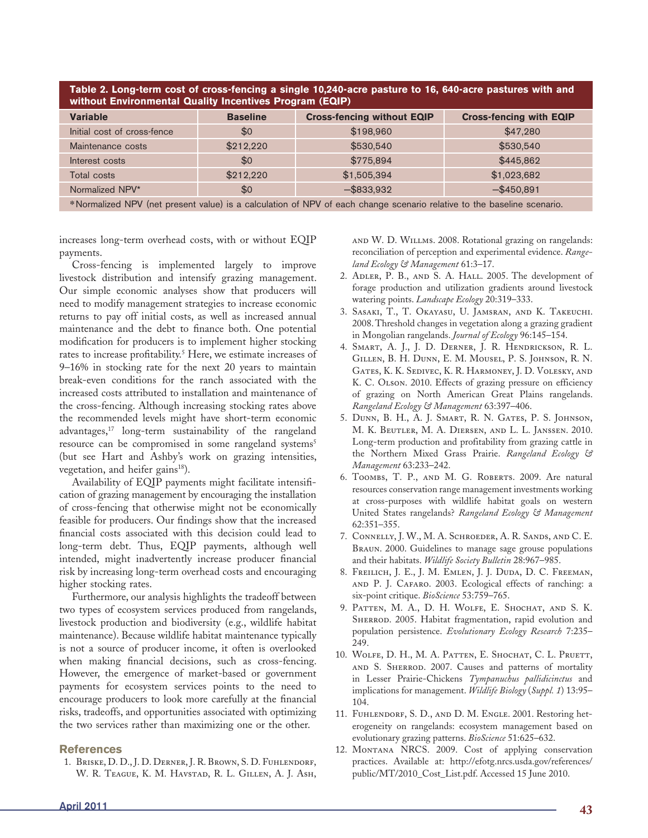| Table 2. Long-term cost of cross-fencing a single 10,240-acre pasture to 16, 640-acre pastures with and<br>without Environmental Quality Incentives Program (EQIP) |                 |                                   |                                |
|--------------------------------------------------------------------------------------------------------------------------------------------------------------------|-----------------|-----------------------------------|--------------------------------|
| <b>Variable</b>                                                                                                                                                    | <b>Baseline</b> | <b>Cross-fencing without EQIP</b> | <b>Cross-fencing with EQIP</b> |
| Initial cost of cross-fence                                                                                                                                        | \$0             | \$198,960                         | \$47,280                       |
| Maintenance costs                                                                                                                                                  | \$212,220       | \$530,540                         | \$530,540                      |
| Interest costs                                                                                                                                                     | \$0             | \$775,894                         | \$445,862                      |
| Total costs                                                                                                                                                        | \$212,220       | \$1,505,394                       | \$1,023,682                    |
| Normalized NPV*                                                                                                                                                    | \$0             | $-$ \$833,932                     | $-$ \$450,891                  |
| *Normalized NPV (net present value) is a calculation of NPV of each change scenario relative to the baseline scenario.                                             |                 |                                   |                                |

increases long-term overhead costs, with or without EQIP payments.

Cross-fencing is implemented largely to improve livestock distribution and intensify grazing management. Our simple economic analyses show that producers will need to modify management strategies to increase economic returns to pay off initial costs, as well as increased annual maintenance and the debt to finance both. One potential modification for producers is to implement higher stocking rates to increase profitability.<sup>5</sup> Here, we estimate increases of 9–16% in stocking rate for the next 20 years to maintain break-even conditions for the ranch associated with the increased costs attributed to installation and maintenance of the cross-fencing. Although increasing stocking rates above the recommended levels might have short-term economic advantages,17 long-term sustainability of the rangeland resource can be compromised in some rangeland systems<sup>5</sup> (but see Hart and Ashby's work on grazing intensities, vegetation, and heifer gains<sup>18</sup>).

Availability of EQIP payments might facilitate intensification of grazing management by encouraging the installation of cross-fencing that otherwise might not be economically feasible for producers. Our findings show that the increased financial costs associated with this decision could lead to long-term debt. Thus, EQIP payments, although well intended, might inadvertently increase producer financial risk by increasing long-term overhead costs and encouraging higher stocking rates.

Furthermore, our analysis highlights the tradeoff between two types of ecosystem services produced from rangelands, livestock production and biodiversity (e.g., wildlife habitat maintenance). Because wildlife habitat maintenance typically is not a source of producer income, it often is overlooked when making financial decisions, such as cross-fencing. However, the emergence of market-based or government payments for ecosystem services points to the need to encourage producers to look more carefully at the financial risks, tradeoffs, and opportunities associated with optimizing the two services rather than maximizing one or the other.

#### **References**

 1. Briske, D. D., J. D. Derner, J. R. Brown, S. D. Fuhlendorf, W. R. Teague, K. M. Havstad, R. L. Gillen, A. J. Ash, and W. D. Willms. 2008. Rotational grazing on rangelands: reconciliation of perception and experimental evidence. *Rangeland Ecology & Management* 61:3–17.

- 2. Adler, P. B., and S. A. Hall. 2005. The development of forage production and utilization gradients around livestock watering points. *Landscape Ecology* 20:319–333.
- 3. Sasaki, T., T. Okayasu, U. Jamsran, and K. Takeuchi. 2008. Threshold changes in vegetation along a grazing gradient in Mongolian rangelands. *Journal of Ecology* 96:145–154.
- 4. Smart, A. J., J. D. Derner, J. R. Hendrickson, R. L. Gillen, B. H. Dunn, E. M. Mousel, P. S. Johnson, R. N. Gates, K. K. Sedivec, K. R. Harmoney, J. D. Volesky, and K. C. Olson. 2010. Effects of grazing pressure on efficiency of grazing on North American Great Plains rangelands. *Rangeland Ecology & Management* 63:397–406.
- 5. Dunn, B. H., A. J. Smart, R. N. Gates, P. S. Johnson, M. K. Beutler, M. A. Diersen, and L. L. Janssen. 2010. Long-term production and profitability from grazing cattle in the Northern Mixed Grass Prairie. *Rangeland Ecology & Management* 63:233–242.
- 6. Toombs, T. P., and M. G. Roberts. 2009. Are natural resources conservation range management investments working at cross-purposes with wildlife habitat goals on western United States rangelands? *Rangeland Ecology & Management* 62:351–355.
- 7. Connelly, J. W., M. A. Schroeder, A. R. Sands, and C. E. Braun. 2000. Guidelines to manage sage grouse populations and their habitats. *Wildlife Society Bulletin* 28:967–985.
- 8. Freilich, J. E., J. M. Emlen, J. J. Duda, D. C. Freeman, and P. J. Cafaro. 2003. Ecological effects of ranching: a six-point critique. *BioScience* 53:759–765.
- 9. Patten, M. A., D. H. Wolfe, E. Shochat, and S. K. SHERROD. 2005. Habitat fragmentation, rapid evolution and population persistence. *Evolutionary Ecology Research* 7:235– 249.
- 10. Wolfe, D. H., M. A. Patten, E. Shochat, C. L. Pruett, and S. Sherrod. 2007. Causes and patterns of mortality in Lesser Prairie-Chickens *Tympanuchus pallidicinctus* and implications for management. *Wildlife Biology* (*Suppl. 1*) 13:95– 104.
- 11. FUHLENDORF, S. D., AND D. M. ENGLE. 2001. Restoring heterogeneity on rangelands: ecosystem management based on evolutionary grazing patterns. *BioScience* 51:625–632.
- 12. MONTANA NRCS. 2009. Cost of applying conservation practices. Available at: http://efotg.nrcs.usda.gov/references/ public/MT/2010\_Cost\_List.pdf. Accessed 15 June 2010.